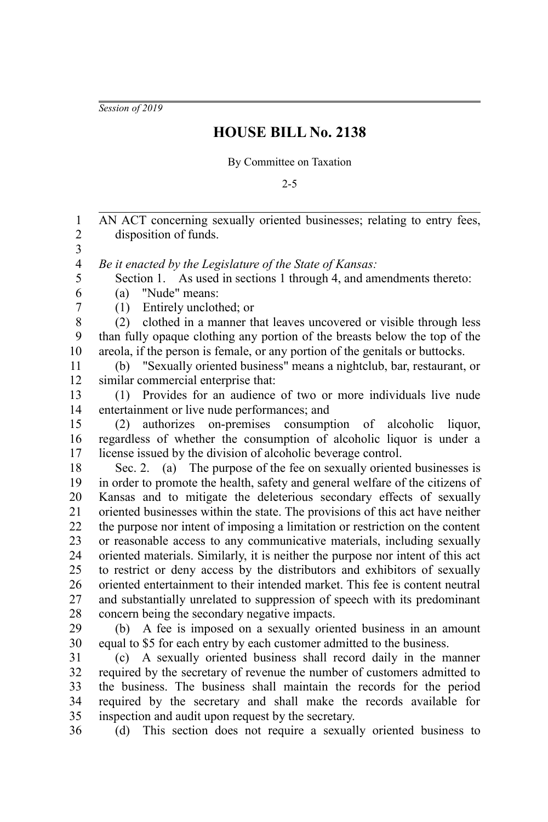*Session of 2019*

35

## **HOUSE BILL No. 2138**

By Committee on Taxation

2-5

AN ACT concerning sexually oriented businesses; relating to entry fees, disposition of funds. *Be it enacted by the Legislature of the State of Kansas:* Section 1. As used in sections 1 through 4, and amendments thereto: (a) "Nude" means: (1) Entirely unclothed; or (2) clothed in a manner that leaves uncovered or visible through less than fully opaque clothing any portion of the breasts below the top of the areola, if the person is female, or any portion of the genitals or buttocks. (b) "Sexually oriented business" means a nightclub, bar, restaurant, or similar commercial enterprise that: (1) Provides for an audience of two or more individuals live nude entertainment or live nude performances; and (2) authorizes on-premises consumption of alcoholic liquor, regardless of whether the consumption of alcoholic liquor is under a license issued by the division of alcoholic beverage control. Sec. 2. (a) The purpose of the fee on sexually oriented businesses is in order to promote the health, safety and general welfare of the citizens of Kansas and to mitigate the deleterious secondary effects of sexually oriented businesses within the state. The provisions of this act have neither the purpose nor intent of imposing a limitation or restriction on the content or reasonable access to any communicative materials, including sexually oriented materials. Similarly, it is neither the purpose nor intent of this act to restrict or deny access by the distributors and exhibitors of sexually oriented entertainment to their intended market. This fee is content neutral and substantially unrelated to suppression of speech with its predominant concern being the secondary negative impacts. (b) A fee is imposed on a sexually oriented business in an amount equal to \$5 for each entry by each customer admitted to the business. (c) A sexually oriented business shall record daily in the manner required by the secretary of revenue the number of customers admitted to the business. The business shall maintain the records for the period required by the secretary and shall make the records available for 1 2 3 4 5 6 7 8 9 10 11 12 13 14 15 16 17 18 19 20 21 22 23 24 25 26 27 28 29 30 31 32 33 34

inspection and audit upon request by the secretary. (d) This section does not require a sexually oriented business to 36